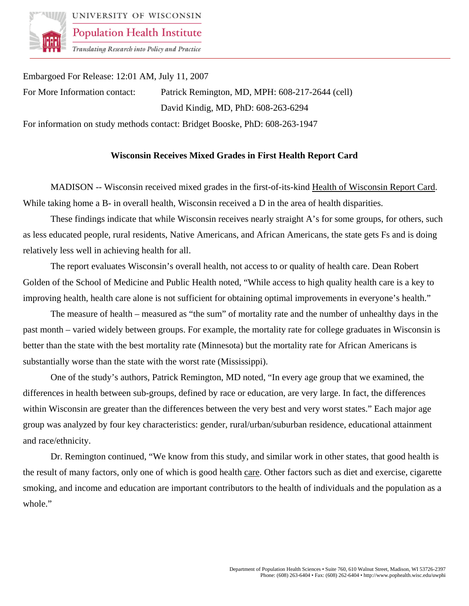

UNIVERSITY OF WISCONSIN **Population Health Institute** 

Translating Research into Policy and Practice

Embargoed For Release: 12:01 AM, July 11, 2007 For More Information contact: Patrick Remington, MD, MPH: 608-217-2644 (cell) David Kindig, MD, PhD: 608-263-6294 For information on study methods contact: Bridget Booske, PhD: 608-263-1947

## **Wisconsin Receives Mixed Grades in First Health Report Card**

MADISON -- Wisconsin received mixed grades in the first-of-its-kind Health of Wisconsin Report Card. While taking home a B- in overall health, Wisconsin received a D in the area of health disparities.

These findings indicate that while Wisconsin receives nearly straight A's for some groups, for others, such as less educated people, rural residents, Native Americans, and African Americans, the state gets Fs and is doing relatively less well in achieving health for all.

The report evaluates Wisconsin's overall health, not access to or quality of health care. Dean Robert Golden of the School of Medicine and Public Health noted, "While access to high quality health care is a key to improving health, health care alone is not sufficient for obtaining optimal improvements in everyone's health."

The measure of health – measured as "the sum" of mortality rate and the number of unhealthy days in the past month – varied widely between groups. For example, the mortality rate for college graduates in Wisconsin is better than the state with the best mortality rate (Minnesota) but the mortality rate for African Americans is substantially worse than the state with the worst rate (Mississippi).

One of the study's authors, Patrick Remington, MD noted, "In every age group that we examined, the differences in health between sub-groups, defined by race or education, are very large. In fact, the differences within Wisconsin are greater than the differences between the very best and very worst states." Each major age group was analyzed by four key characteristics: gender, rural/urban/suburban residence, educational attainment and race/ethnicity.

Dr. Remington continued, "We know from this study, and similar work in other states, that good health is the result of many factors, only one of which is good health care. Other factors such as diet and exercise, cigarette smoking, and income and education are important contributors to the health of individuals and the population as a whole."